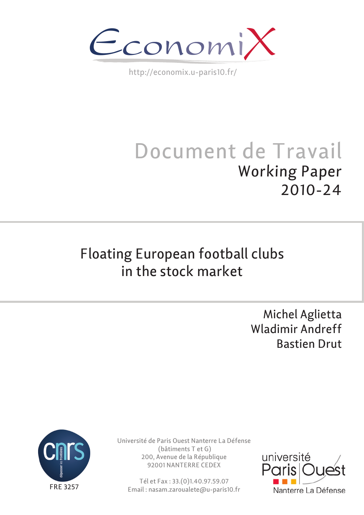

http://economix.u-paris10.fr/

# Document de Travail Working Paper 2010-24

## Floating European football clubs in the stock market

Michel Aglietta Wladimir Andreff Bastien Drut



Université de Paris Ouest Nanterre La Défense (bâtiments T et G) 200, Avenue de la République 92001 NANTERRE CEDEX

Tél et Fax : 33.(0)1.40.97.59.07 Email : nasam.zaroualete@u-paris10.fr

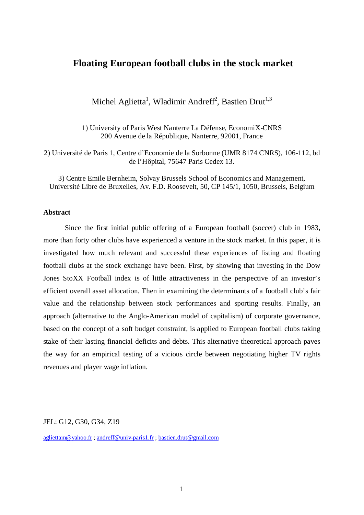### **Floating European football clubs in the stock market**

Michel Aglietta<sup>1</sup>, Wladimir Andreff<sup>2</sup>, Bastien Drut<sup>1,3</sup>

1) University of Paris West Nanterre La Défense, EconomiX-CNRS 200 Avenue de la République, Nanterre, 92001, France

2) Université de Paris 1, Centre d'Economie de la Sorbonne (UMR 8174 CNRS), 106-112, bd de l'Hôpital, 75647 Paris Cedex 13.

3) Centre Emile Bernheim, Solvay Brussels School of Economics and Management, Université Libre de Bruxelles, Av. F.D. Roosevelt, 50, CP 145/1, 1050, Brussels, Belgium

#### **Abstract**

Since the first initial public offering of a European football (soccer) club in 1983, more than forty other clubs have experienced a venture in the stock market. In this paper, it is investigated how much relevant and successful these experiences of listing and floating football clubs at the stock exchange have been. First, by showing that investing in the Dow Jones StoXX Football index is of little attractiveness in the perspective of an investor's efficient overall asset allocation. Then in examining the determinants of a football club's fair value and the relationship between stock performances and sporting results. Finally, an approach (alternative to the Anglo-American model of capitalism) of corporate governance, based on the concept of a soft budget constraint, is applied to European football clubs taking stake of their lasting financial deficits and debts. This alternative theoretical approach paves the way for an empirical testing of a vicious circle between negotiating higher TV rights revenues and player wage inflation.

JEL: G12, G30, G34, Z19

[agliettam@yahoo.fr](mailto:agliettam@yahoo.fr) ; [andreff@univ-paris1.fr](mailto:andreff@univ-paris1.fr) ; [bastien.drut@gmail.com](mailto:bastien.drut@gmail.com)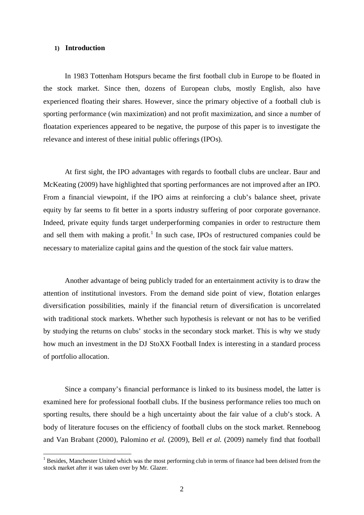#### **1) Introduction**

In 1983 Tottenham Hotspurs became the first football club in Europe to be floated in the stock market. Since then, dozens of European clubs, mostly English, also have experienced floating their shares. However, since the primary objective of a football club is sporting performance (win maximization) and not profit maximization, and since a number of floatation experiences appeared to be negative, the purpose of this paper is to investigate the relevance and interest of these initial public offerings (IPOs).

At first sight, the IPO advantages with regards to football clubs are unclear. Baur and McKeating (2009) have highlighted that sporting performances are not improved after an IPO. From a financial viewpoint, if the IPO aims at reinforcing a club's balance sheet, private equity by far seems to fit better in a sports industry suffering of poor corporate governance. Indeed, private equity funds target underperforming companies in order to restructure them and sell them with making a profit.<sup>[1](#page-2-0)</sup> In such case, IPOs of restructured companies could be necessary to materialize capital gains and the question of the stock fair value matters.

Another advantage of being publicly traded for an entertainment activity is to draw the attention of institutional investors. From the demand side point of view, flotation enlarges diversification possibilities, mainly if the financial return of diversification is uncorrelated with traditional stock markets. Whether such hypothesis is relevant or not has to be verified by studying the returns on clubs' stocks in the secondary stock market. This is why we study how much an investment in the DJ StoXX Football Index is interesting in a standard process of portfolio allocation.

Since a company's financial performance is linked to its business model, the latter is examined here for professional football clubs. If the business performance relies too much on sporting results, there should be a high uncertainty about the fair value of a club's stock. A body of literature focuses on the efficiency of football clubs on the stock market. Renneboog and Van Brabant (2000), Palomino *et al.* (2009), Bell *et al.* (2009) namely find that football

<span id="page-2-0"></span><sup>&</sup>lt;sup>1</sup> Besides, Manchester United which was the most performing club in terms of finance had been delisted from the stock market after it was taken over by Mr. Glazer.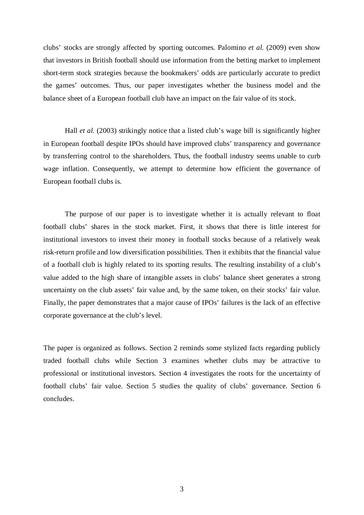clubs' stocks are strongly affected by sporting outcomes. Palomino *et al.* (2009) even show that investors in British football should use information from the betting market to implement short-term stock strategies because the bookmakers' odds are particularly accurate to predict the games' outcomes. Thus, our paper investigates whether the business model and the balance sheet of a European football club have an impact on the fair value of its stock.

Hall *et al.* (2003) strikingly notice that a listed club's wage bill is significantly higher in European football despite IPOs should have improved clubs' transparency and governance by transferring control to the shareholders. Thus, the football industry seems unable to curb wage inflation. Consequently, we attempt to determine how efficient the governance of European football clubs is.

The purpose of our paper is to investigate whether it is actually relevant to float football clubs' shares in the stock market. First, it shows that there is little interest for institutional investors to invest their money in football stocks because of a relatively weak risk-return profile and low diversification possibilities. Then it exhibits that the financial value of a football club is highly related to its sporting results. The resulting instability of a club's value added to the high share of intangible assets in clubs' balance sheet generates a strong uncertainty on the club assets' fair value and, by the same token, on their stocks' fair value. Finally, the paper demonstrates that a major cause of IPOs' failures is the lack of an effective corporate governance at the club's level.

The paper is organized as follows. Section 2 reminds some stylized facts regarding publicly traded football clubs while Section 3 examines whether clubs may be attractive to professional or institutional investors. Section 4 investigates the roots for the uncertainty of football clubs' fair value. Section 5 studies the quality of clubs' governance. Section 6 concludes.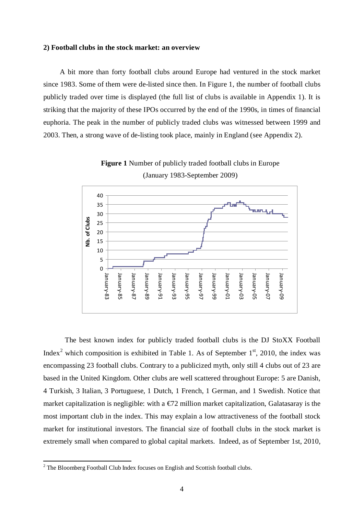#### **2) Football clubs in the stock market: an overview**

A bit more than forty football clubs around Europe had ventured in the stock market since 1983. Some of them were de-listed since then. In Figure 1, the number of football clubs publicly traded over time is displayed (the full list of clubs is available in Appendix 1). It is striking that the majority of these IPOs occurred by the end of the 1990s, in times of financial euphoria. The peak in the number of publicly traded clubs was witnessed between 1999 and 2003. Then, a strong wave of de-listing took place, mainly in England (see Appendix 2).



**Figure 1** Number of publicly traded football clubs in Europe (January 1983-September 2009)

The best known index for publicly traded football clubs is the DJ StoXX Football Index<sup>[2](#page-4-0)</sup> which composition is exhibited in Table 1. As of September  $1<sup>st</sup>$ , 2010, the index was encompassing 23 football clubs. Contrary to a publicized myth, only still 4 clubs out of 23 are based in the United Kingdom. Other clubs are well scattered throughout Europe: 5 are Danish, 4 Turkish, 3 Italian, 3 Portuguese, 1 Dutch, 1 French, 1 German, and 1 Swedish. Notice that market capitalization is negligible: with a  $\epsilon/2$  million market capitalization, Galatasaray is the most important club in the index. This may explain a low attractiveness of the football stock market for institutional investors. The financial size of football clubs in the stock market is extremely small when compared to global capital markets. Indeed, as of September 1st, 2010,

<span id="page-4-0"></span> $2$  The Bloomberg Football Club Index focuses on English and Scottish football clubs.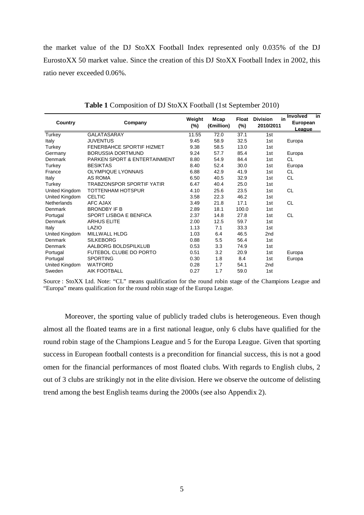the market value of the DJ StoXX Football Index represented only 0.035% of the DJ EurostoXX 50 market value. Since the creation of this DJ StoXX Football Index in 2002, this ratio never exceeded 0.06%.

| <b>Country</b>     | Company                          | Weight<br>(%) | Mcap<br>( <del>€</del> million) | Float<br>(%) | <b>Division</b><br>2010/2011 | in<br><b>Involved</b><br>in<br>European<br>League |
|--------------------|----------------------------------|---------------|---------------------------------|--------------|------------------------------|---------------------------------------------------|
| Turkey             | <b>GALATASARAY</b>               | 11.55         | 72.0                            | 37.1         | 1st                          |                                                   |
| Italy              | <b>JUVENTUS</b>                  | 9.45          | 58.9                            | 32.5         | 1st                          | Europa                                            |
| Turkey             | <b>FENERBAHCE SPORTIF HIZMET</b> | 9.38          | 58.5                            | 13.0         | 1st                          |                                                   |
| Germany            | <b>BORUSSIA DORTMUND</b>         | 9.24          | 57.7                            | 85.4         | 1st                          | Europa                                            |
| Denmark            | PARKEN SPORT & ENTERTAINMENT     | 8.80          | 54.9                            | 84.4         | 1st                          | CL                                                |
| Turkey             | <b>BESIKTAS</b>                  | 8.40          | 52.4                            | 30.0         | 1st                          | Europa                                            |
| France             | <b>OLYMPIQUE LYONNAIS</b>        | 6.88          | 42.9                            | 41.9         | 1st                          | CL.                                               |
| Italy              | AS ROMA                          | 6.50          | 40.5                            | 32.9         | 1st                          | CL                                                |
| Turkey             | TRABZONSPOR SPORTIF YATIR        | 6.47          | 40.4                            | 25.0         | 1st                          |                                                   |
| United Kingdom     | TOTTENHAM HOTSPUR                | 4.10          | 25.6                            | 23.5         | 1st                          | CL                                                |
| United Kingdom     | <b>CELTIC</b>                    | 3.58          | 22.3                            | 46.2         | 1st                          |                                                   |
| <b>Netherlands</b> | AFC AJAX                         | 3.49          | 21.8                            | 17.1         | 1st                          | <b>CL</b>                                         |
| Denmark            | <b>BRONDBY IF B</b>              | 2.89          | 18.1                            | 100.0        | 1st                          |                                                   |
| Portugal           | SPORT LISBOA E BENFICA           | 2.37          | 14.8                            | 27.8         | 1st                          | <b>CL</b>                                         |
| Denmark            | <b>ARHUS ELITE</b>               | 2.00          | 12.5                            | 59.7         | 1st                          |                                                   |
| Italy              | LAZIO                            | 1.13          | 7.1                             | 33.3         | 1st                          |                                                   |
| United Kingdom     | <b>MILLWALL HLDG</b>             | 1.03          | 6.4                             | 46.5         | 2 <sub>nd</sub>              |                                                   |
| Denmark            | <b>SILKEBORG</b>                 | 0.88          | 5.5                             | 56.4         | 1st                          |                                                   |
| Denmark            | AALBORG BOLDSPILKLUB             | 0.53          | 3.3                             | 74.9         | 1st                          |                                                   |
| Portugal           | FUTEBOL CLUBE DO PORTO           | 0.51          | 3.2                             | 20.9         | 1st                          | Europa                                            |
| Portugal           | <b>SPORTING</b>                  | 0.30          | 1.8                             | 8.4          | 1st                          | Europa                                            |
| United Kingdom     | <b>WATFORD</b>                   | 0.28          | 1.7                             | 54.1         | 2nd                          |                                                   |
| Sweden             | <b>AIK FOOTBALL</b>              | 0.27          | 1.7                             | 59.0         | 1st                          |                                                   |

**Table 1** Composition of DJ StoXX Football (1st September 2010)

Source : StoXX Ltd. Note: "CL" means qualification for the round robin stage of the Champions League and "Europa" means qualification for the round robin stage of the Europa League.

Moreover, the sporting value of publicly traded clubs is heterogeneous. Even though almost all the floated teams are in a first national league, only 6 clubs have qualified for the round robin stage of the Champions League and 5 for the Europa League. Given that sporting success in European football contests is a precondition for financial success, this is not a good omen for the financial performances of most floated clubs. With regards to English clubs, 2 out of 3 clubs are strikingly not in the elite division. Here we observe the outcome of delisting trend among the best English teams during the 2000s (see also Appendix 2).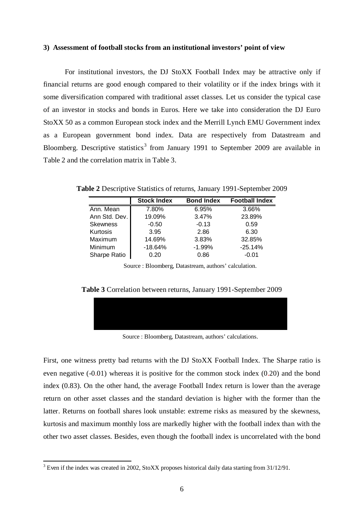#### **3) Assessment of football stocks from an institutional investors' point of view**

For institutional investors, the DJ StoXX Football Index may be attractive only if financial returns are good enough compared to their volatility or if the index brings with it some diversification compared with traditional asset classes. Let us consider the typical case of an investor in stocks and bonds in Euros. Here we take into consideration the DJ Euro StoXX 50 as a common European stock index and the Merrill Lynch EMU Government index as a European government bond index. Data are respectively from Datastream and Bloomberg. Descriptive statistics<sup>[3](#page-6-0)</sup> from January 1991 to September 2009 are available in Table 2 and the correlation matrix in Table 3.

**Table 2** Descriptive Statistics of returns, January 1991-September 2009

|                 | <b>Stock Index</b> | <b>Bond Index</b> | <b>Football Index</b> |
|-----------------|--------------------|-------------------|-----------------------|
| Ann. Mean       | 7.80%              | 6.95%             | 3.66%                 |
| Ann Std. Dev.   | 19.09%             | 3.47%             | 23.89%                |
| <b>Skewness</b> | $-0.50$            | $-0.13$           | 0.59                  |
| Kurtosis        | 3.95               | 2.86              | 6.30                  |
| Maximum         | 14.69%             | 3.83%             | 32.85%                |
| Minimum         | $-18.64%$          | $-1.99%$          | $-25.14%$             |
| Sharpe Ratio    | 0.20               | 0.86              | $-0.01$               |

Source : Bloomberg, Datastream, authors' calculation.

**Table 3** Correlation between returns, January 1991-September 2009



Source : Bloomberg, Datastream, authors' calculations.

First, one witness pretty bad returns with the DJ StoXX Football Index. The Sharpe ratio is even negative (-0.01) whereas it is positive for the common stock index (0.20) and the bond index (0.83). On the other hand, the average Football Index return is lower than the average return on other asset classes and the standard deviation is higher with the former than the latter. Returns on football shares look unstable: extreme risks as measured by the skewness, kurtosis and maximum monthly loss are markedly higher with the football index than with the other two asset classes. Besides, even though the football index is uncorrelated with the bond

<span id="page-6-0"></span><sup>&</sup>lt;sup>3</sup> Even if the index was created in 2002, StoXX proposes historical daily data starting from 31/12/91.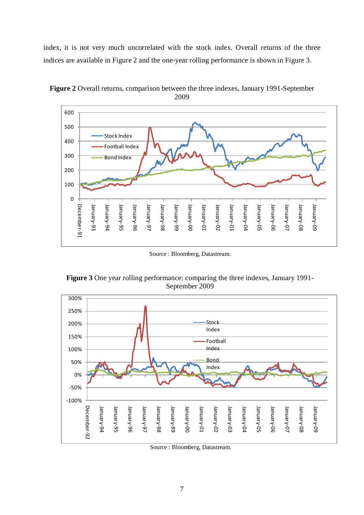index, it is not very much uncorrelated with the stock index. Overall returns of the three indices are available in Figure 2 and the one-year rolling performance is shown in Figure 3.



**Figure 2** Overall returns, comparison between the three indexes, January 1991-September 2009

Source : Bloomberg, Datastream.



**Figure 3** One year rolling performance: comparing the three indexes, January 1991- September 2009

Source : Bloomberg, Datastream.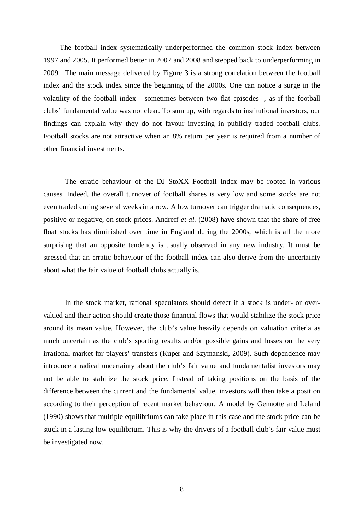The football index systematically underperformed the common stock index between 1997 and 2005. It performed better in 2007 and 2008 and stepped back to underperforming in 2009. The main message delivered by Figure 3 is a strong correlation between the football index and the stock index since the beginning of the 2000s. One can notice a surge in the volatility of the football index - sometimes between two flat episodes -, as if the football clubs' fundamental value was not clear. To sum up, with regards to institutional investors, our findings can explain why they do not favour investing in publicly traded football clubs. Football stocks are not attractive when an 8% return per year is required from a number of other financial investments.

The erratic behaviour of the DJ StoXX Football Index may be rooted in various causes. Indeed, the overall turnover of football shares is very low and some stocks are not even traded during several weeks in a row. A low turnover can trigger dramatic consequences, positive or negative, on stock prices. Andreff *et al.* (2008) have shown that the share of free float stocks has diminished over time in England during the 2000s, which is all the more surprising that an opposite tendency is usually observed in any new industry. It must be stressed that an erratic behaviour of the football index can also derive from the uncertainty about what the fair value of football clubs actually is.

In the stock market, rational speculators should detect if a stock is under- or overvalued and their action should create those financial flows that would stabilize the stock price around its mean value. However, the club's value heavily depends on valuation criteria as much uncertain as the club's sporting results and/or possible gains and losses on the very irrational market for players' transfers (Kuper and Szymanski, 2009). Such dependence may introduce a radical uncertainty about the club's fair value and fundamentalist investors may not be able to stabilize the stock price. Instead of taking positions on the basis of the difference between the current and the fundamental value, investors will then take a position according to their perception of recent market behaviour. A model by Gennotte and Leland (1990) shows that multiple equilibriums can take place in this case and the stock price can be stuck in a lasting low equilibrium. This is why the drivers of a football club's fair value must be investigated now.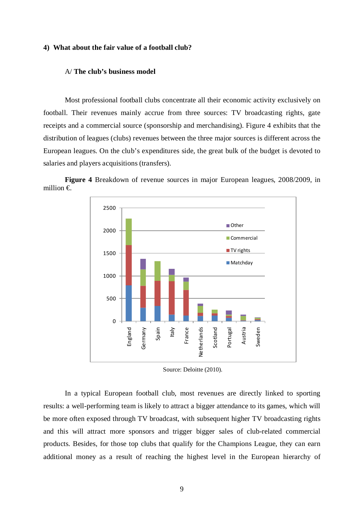#### **4) What about the fair value of a football club?**

#### A/ **The club's business model**

Most professional football clubs concentrate all their economic activity exclusively on football. Their revenues mainly accrue from three sources: TV broadcasting rights, gate receipts and a commercial source (sponsorship and merchandising). Figure 4 exhibits that the distribution of leagues (clubs) revenues between the three major sources is different across the European leagues. On the club's expenditures side, the great bulk of the budget is devoted to salaries and players acquisitions (transfers).

**Figure 4** Breakdown of revenue sources in major European leagues, 2008/2009, in million €.



Source: Deloitte (2010).

In a typical European football club, most revenues are directly linked to sporting results: a well-performing team is likely to attract a bigger attendance to its games, which will be more often exposed through TV broadcast, with subsequent higher TV broadcasting rights and this will attract more sponsors and trigger bigger sales of club-related commercial products. Besides, for those top clubs that qualify for the Champions League, they can earn additional money as a result of reaching the highest level in the European hierarchy of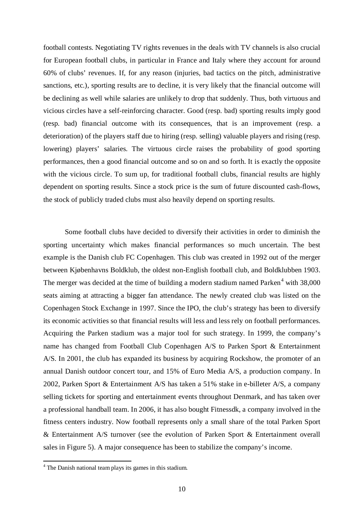football contests. Negotiating TV rights revenues in the deals with TV channels is also crucial for European football clubs, in particular in France and Italy where they account for around 60% of clubs' revenues. If, for any reason (injuries, bad tactics on the pitch, administrative sanctions, etc.), sporting results are to decline, it is very likely that the financial outcome will be declining as well while salaries are unlikely to drop that suddenly. Thus, both virtuous and vicious circles have a self-reinforcing character. Good (resp. bad) sporting results imply good (resp. bad) financial outcome with its consequences, that is an improvement (resp. a deterioration) of the players staff due to hiring (resp. selling) valuable players and rising (resp. lowering) players' salaries. The virtuous circle raises the probability of good sporting performances, then a good financial outcome and so on and so forth. It is exactly the opposite with the vicious circle. To sum up, for traditional football clubs, financial results are highly dependent on sporting results. Since a stock price is the sum of future discounted cash-flows, the stock of publicly traded clubs must also heavily depend on sporting results.

Some football clubs have decided to diversify their activities in order to diminish the sporting uncertainty which makes financial performances so much uncertain. The best example is the Danish club FC Copenhagen. This club was created in 1992 out of the merger between Kjøbenhavns Boldklub, the oldest non-English football club, and Boldklubben 1903. The merger was decided at the time of building a modern stadium named Parken<sup>[4](#page-10-0)</sup> with  $38,000$ seats aiming at attracting a bigger fan attendance. The newly created club was listed on the Copenhagen Stock Exchange in 1997. Since the IPO, the club's strategy has been to diversify its economic activities so that financial results will less and less rely on football performances. Acquiring the Parken stadium was a major tool for such strategy. In 1999, the company's name has changed from Football Club Copenhagen A/S to Parken Sport & Entertainment A/S. In 2001, the club has expanded its business by acquiring Rockshow, the promoter of an annual Danish outdoor concert tour, and 15% of Euro Media A/S, a production company. In 2002, Parken Sport & Entertainment A/S has taken a 51% stake in e-billeter A/S, a company selling tickets for sporting and entertainment events throughout Denmark, and has taken over a professional handball team. In 2006, it has also bought Fitnessdk, a company involved in the fitness centers industry. Now football represents only a small share of the total Parken Sport & Entertainment A/S turnover (see the evolution of Parken Sport & Entertainment overall sales in Figure 5). A major consequence has been to stabilize the company's income.

<span id="page-10-0"></span> <sup>4</sup> The Danish national team plays its games in this stadium.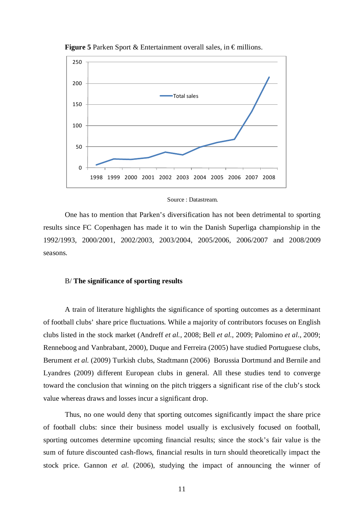

**Figure 5** Parken Sport & Entertainment overall sales, in  $\epsilon$  millions.

#### Source : Datastream.

One has to mention that Parken's diversification has not been detrimental to sporting results since FC Copenhagen has made it to win the Danish Superliga championship in the 1992/1993, 2000/2001, 2002/2003, 2003/2004, 2005/2006, 2006/2007 and 2008/2009 seasons.

#### B/ **The significance of sporting results**

A train of literature highlights the significance of sporting outcomes as a determinant of football clubs' share price fluctuations. While a majority of contributors focuses on English clubs listed in the stock market (Andreff *et al.*, 2008; Bell *et al.*, 2009; Palomino *et al.*, 2009; Renneboog and Vanbrabant, 2000), Duque and Ferreira (2005) have studied Portuguese clubs, Berument *et al.* (2009) Turkish clubs, Stadtmann (2006) Borussia Dortmund and Bernile and Lyandres (2009) different European clubs in general. All these studies tend to converge toward the conclusion that winning on the pitch triggers a significant rise of the club's stock value whereas draws and losses incur a significant drop.

Thus, no one would deny that sporting outcomes significantly impact the share price of football clubs: since their business model usually is exclusively focused on football, sporting outcomes determine upcoming financial results; since the stock's fair value is the sum of future discounted cash-flows, financial results in turn should theoretically impact the stock price. Gannon *et al.* (2006), studying the impact of announcing the winner of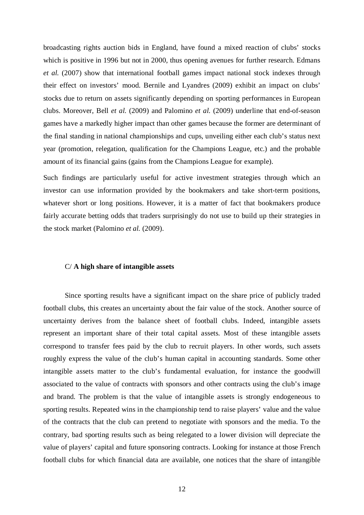broadcasting rights auction bids in England, have found a mixed reaction of clubs' stocks which is positive in 1996 but not in 2000, thus opening avenues for further research. Edmans *et al.* (2007) show that international football games impact national stock indexes through their effect on investors' mood. Bernile and Lyandres (2009) exhibit an impact on clubs' stocks due to return on assets significantly depending on sporting performances in European clubs. Moreover, Bell *et al.* (2009) and Palomino *et al.* (2009) underline that end-of-season games have a markedly higher impact than other games because the former are determinant of the final standing in national championships and cups, unveiling either each club's status next year (promotion, relegation, qualification for the Champions League, etc.) and the probable amount of its financial gains (gains from the Champions League for example).

Such findings are particularly useful for active investment strategies through which an investor can use information provided by the bookmakers and take short-term positions, whatever short or long positions. However, it is a matter of fact that bookmakers produce fairly accurate betting odds that traders surprisingly do not use to build up their strategies in the stock market (Palomino *et al.* (2009).

#### C/ **A high share of intangible assets**

Since sporting results have a significant impact on the share price of publicly traded football clubs, this creates an uncertainty about the fair value of the stock. Another source of uncertainty derives from the balance sheet of football clubs. Indeed, intangible assets represent an important share of their total capital assets. Most of these intangible assets correspond to transfer fees paid by the club to recruit players. In other words, such assets roughly express the value of the club's human capital in accounting standards. Some other intangible assets matter to the club's fundamental evaluation, for instance the goodwill associated to the value of contracts with sponsors and other contracts using the club's image and brand. The problem is that the value of intangible assets is strongly endogeneous to sporting results. Repeated wins in the championship tend to raise players' value and the value of the contracts that the club can pretend to negotiate with sponsors and the media. To the contrary, bad sporting results such as being relegated to a lower division will depreciate the value of players' capital and future sponsoring contracts. Looking for instance at those French football clubs for which financial data are available, one notices that the share of intangible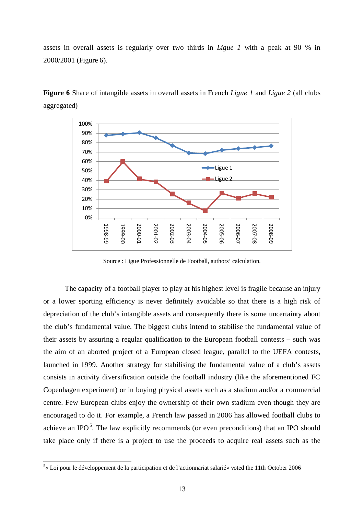assets in overall assets is regularly over two thirds in *Ligue 1* with a peak at 90 % in 2000/2001 (Figure 6).



**Figure 6** Share of intangible assets in overall assets in French *Ligue 1* and *Ligue 2* (all clubs aggregated)

Source : Ligue Professionnelle de Football, authors' calculation.

The capacity of a football player to play at his highest level is fragile because an injury or a lower sporting efficiency is never definitely avoidable so that there is a high risk of depreciation of the club's intangible assets and consequently there is some uncertainty about the club's fundamental value. The biggest clubs intend to stabilise the fundamental value of their assets by assuring a regular qualification to the European football contests – such was the aim of an aborted project of a European closed league, parallel to the UEFA contests, launched in 1999. Another strategy for stabilising the fundamental value of a club's assets consists in activity diversification outside the football industry (like the aforementioned FC Copenhagen experiment) or in buying physical assets such as a stadium and/or a commercial centre. Few European clubs enjoy the ownership of their own stadium even though they are encouraged to do it. For example, a French law passed in 2006 has allowed football clubs to achieve an IPO<sup>[5](#page-13-0)</sup>. The law explicitly recommends (or even preconditions) that an IPO should take place only if there is a project to use the proceeds to acquire real assets such as the

<span id="page-13-0"></span> $\frac{1}{5}$  $5<sub>«</sub>$  Loi pour le développement de la participation et de l'actionnariat salarié» voted the 11th October 2006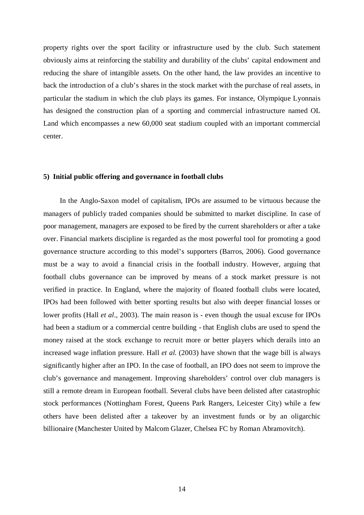property rights over the sport facility or infrastructure used by the club. Such statement obviously aims at reinforcing the stability and durability of the clubs' capital endowment and reducing the share of intangible assets. On the other hand, the law provides an incentive to back the introduction of a club's shares in the stock market with the purchase of real assets, in particular the stadium in which the club plays its games. For instance, Olympique Lyonnais has designed the construction plan of a sporting and commercial infrastructure named OL Land which encompasses a new 60,000 seat stadium coupled with an important commercial center.

#### **5) Initial public offering and governance in football clubs**

In the Anglo-Saxon model of capitalism, IPOs are assumed to be virtuous because the managers of publicly traded companies should be submitted to market discipline. In case of poor management, managers are exposed to be fired by the current shareholders or after a take over. Financial markets discipline is regarded as the most powerful tool for promoting a good governance structure according to this model's supporters (Barros, 2006). Good governance must be a way to avoid a financial crisis in the football industry. However, arguing that football clubs governance can be improved by means of a stock market pressure is not verified in practice. In England, where the majority of floated football clubs were located, IPOs had been followed with better sporting results but also with deeper financial losses or lower profits (Hall *et al.,* 2003). The main reason is - even though the usual excuse for IPOs had been a stadium or a commercial centre building - that English clubs are used to spend the money raised at the stock exchange to recruit more or better players which derails into an increased wage inflation pressure. Hall *et al.* (2003) have shown that the wage bill is always significantly higher after an IPO. In the case of football, an IPO does not seem to improve the club's governance and management. Improving shareholders' control over club managers is still a remote dream in European football. Several clubs have been delisted after catastrophic stock performances (Nottingham Forest, Queens Park Rangers, Leicester City) while a few others have been delisted after a takeover by an investment funds or by an oligarchic billionaire (Manchester United by Malcom Glazer, Chelsea FC by Roman Abramovitch).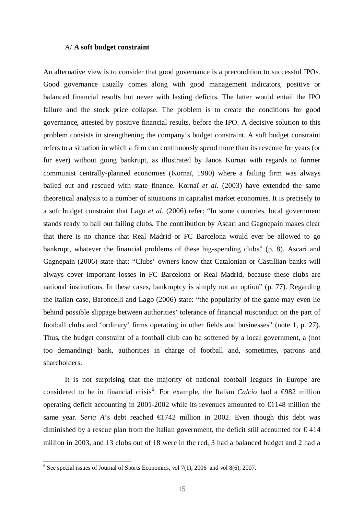#### A/ **A soft budget constraint**

An alternative view is to consider that good governance is a precondition to successful IPOs. Good governance usually comes along with good management indicators, positive or balanced financial results but never with lasting deficits. The latter would entail the IPO failure and the stock price collapse. The problem is to create the conditions for good governance, attested by positive financial results, before the IPO. A decisive solution to this problem consists in strengthening the company's budget constraint. A soft budget constraint refers to a situation in which a firm can continuously spend more than its revenue for years (or for ever) without going bankrupt, as illustrated by Janos Kornaï with regards to former communist centrally-planned economies (Kornaï, 1980) where a failing firm was always bailed out and rescued with state finance. Kornaï *et al.* (2003) have extended the same theoretical analysis to a number of situations in capitalist market economies. It is precisely to a soft budget constraint that Lago *et al.* (2006) refer: "In some countries, local government stands ready to bail out failing clubs. The contribution by Ascari and Gagnepain makes clear that there is no chance that Real Madrid or FC Barcelona would ever be allowed to go bankrupt, whatever the financial problems of these big-spending clubs" (p. 8). Ascari and Gagnepain (2006) state that: "Clubs' owners know that Catalonian or Castillian banks will always cover important losses in FC Barcelona or Real Madrid, because these clubs are national institutions. In these cases, bankruptcy is simply not an option" (p. 77). Regarding the Italian case, Baroncelli and Lago (2006) state: "the popularity of the game may even lie behind possible slippage between authorities' tolerance of financial misconduct on the part of football clubs and 'ordinary' firms operating in other fields and businesses" (note 1, p. 27). Thus, the budget constraint of a football club can be softened by a local government, a (not too demanding) bank, authorities in charge of football and, sometimes, patrons and shareholders.

It is not surprising that the majority of national football leagues in Europe are considered to be in financial crisis<sup>[6](#page-15-0)</sup>. For example, the Italian *Calcio* had a ⊕82 million operating deficit accounting in 2001-2002 while its revenues amounted to  $\in$  148 million the same year. *Seria A*'s debt reached  $\bigoplus$  742 million in 2002. Even though this debt was diminished by a rescue plan from the Italian government, the deficit still accounted for  $\epsilon$ 414 million in 2003, and 13 clubs out of 18 were in the red, 3 had a balanced budget and 2 had a

<span id="page-15-0"></span> $6$  See special issues of Journal of Sports Economics, vol 7(1), 2006 and vol 8(6), 2007.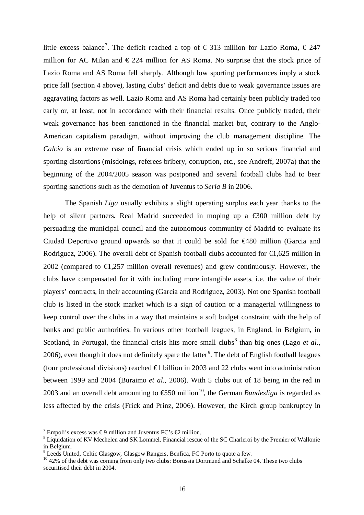little excess balance<sup>[7](#page-16-0)</sup>. The deficit reached a top of  $\epsilon$  313 million for Lazio Roma,  $\epsilon$  247 million for AC Milan and  $\epsilon$  224 million for AS Roma. No surprise that the stock price of Lazio Roma and AS Roma fell sharply. Although low sporting performances imply a stock price fall (section 4 above), lasting clubs' deficit and debts due to weak governance issues are aggravating factors as well. Lazio Roma and AS Roma had certainly been publicly traded too early or, at least, not in accordance with their financial results. Once publicly traded, their weak governance has been sanctioned in the financial market but, contrary to the Anglo-American capitalism paradigm, without improving the club management discipline. The *Calcio* is an extreme case of financial crisis which ended up in so serious financial and sporting distortions (misdoings, referees bribery, corruption, etc., see Andreff, 2007a) that the beginning of the 2004/2005 season was postponed and several football clubs had to bear sporting sanctions such as the demotion of Juventus to *Seria B* in 2006.

The Spanish *Liga* usually exhibits a slight operating surplus each year thanks to the help of silent partners. Real Madrid succeeded in moping up a €300 million debt by persuading the municipal council and the autonomous community of Madrid to evaluate its Ciudad Deportivo ground upwards so that it could be sold for €480 million (Garcia and Rodriguez, 2006). The overall debt of Spanish football clubs accounted for  $\epsilon$ 1,625 million in 2002 (compared to  $\epsilon$ 1,257 million overall revenues) and grew continuously. However, the clubs have compensated for it with including more intangible assets, i.e. the value of their players' contracts, in their accounting (Garcia and Rodriguez, 2003). Not one Spanish football club is listed in the stock market which is a sign of caution or a managerial willingness to keep control over the clubs in a way that maintains a soft budget constraint with the help of banks and public authorities. In various other football leagues, in England, in Belgium, in Scotland, in Portugal, the financial crisis hits more small clubs<sup>[8](#page-16-1)</sup> than big ones (Lago *et al.*, 2006), even though it does not definitely spare the latter<sup>[9](#page-16-2)</sup>. The debt of English football leagues (four professional divisions) reached  $\in$  billion in 2003 and 22 clubs went into administration between 1999 and 2004 (Buraimo *et al.,* 2006). With 5 clubs out of 18 being in the red in 2003 and an overall debt amounting to  $\text{\textsterling}50$  million<sup>[10](#page-16-3)</sup>, the German *Bundesliga* is regarded as less affected by the crisis (Frick and Prinz, 2006). However, the Kirch group bankruptcy in

<span id="page-16-1"></span><span id="page-16-0"></span><sup>&</sup>lt;sup>7</sup> Empoli's excess was €9 million and Juventus FC's €2 million.<br><sup>8</sup> Liquidation of KV Mechelen and SK Lommel. Financial rescue of the SC Charleroi by the Premier of Wallonie in Belgium.<br><sup>9</sup> Leeds United, Celtic Glasgow, Glasgow Rangers, Benfica, FC Porto to quote a few.

<span id="page-16-3"></span><span id="page-16-2"></span> $10$  42% of the debt was coming from only two clubs: Borussia Dortmund and Schalke 04. These two clubs securitised their debt in 2004.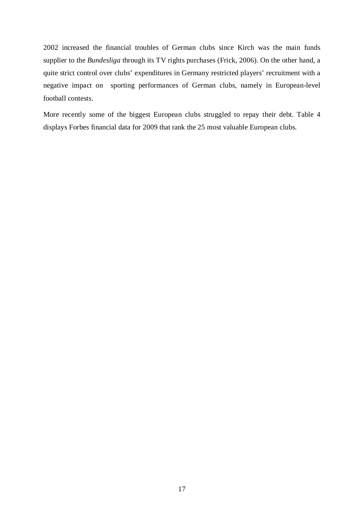2002 increased the financial troubles of German clubs since Kirch was the main funds supplier to the *Bundesliga* through its TV rights purchases (Frick, 2006). On the other hand, a quite strict control over clubs' expenditures in Germany restricted players' recruitment with a negative impact on sporting performances of German clubs, namely in European-level football contests.

More recently some of the biggest European clubs struggled to repay their debt. Table 4 displays Forbes financial data for 2009 that rank the 25 most valuable European clubs.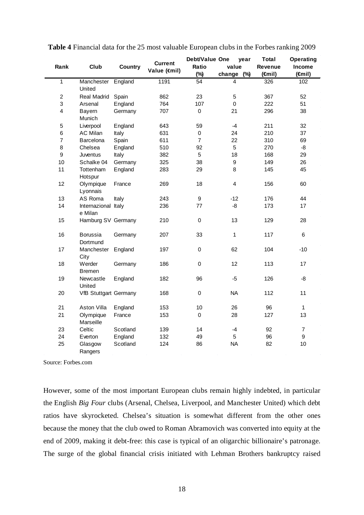| Club<br>Rank              |                                |                | <b>Current</b> | Debt/Value One   | year                    | <b>Total</b>   | <b>Operating</b>    |
|---------------------------|--------------------------------|----------------|----------------|------------------|-------------------------|----------------|---------------------|
|                           |                                | <b>Country</b> | Value (€mil)   | Ratio            | value                   | <b>Revenue</b> | Income              |
|                           |                                |                |                | (%)              | (%)<br>change           | $(\oplus$ nil) | ( <del>f</del> mil) |
| $\overline{1}$            | Manchester<br>United           | England        | 1191           | $\overline{54}$  | 4                       | 326            | 102                 |
| $\boldsymbol{2}$          | Real Madrid                    | Spain          | 862            | 23               | 5                       | 367            | 52                  |
| $\ensuremath{\mathsf{3}}$ | Arsenal                        | England        | 764            | 107              | $\mathbf 0$             | 222            | 51                  |
| 4                         | Bayern<br>Munich               | Germany        | 707            | 0                | 21                      | 296            | 38                  |
| $\mathbf 5$               | Liverpool                      | England        | 643            | 59               | $-4$                    | 211            | 32                  |
| $\,6$                     | <b>AC Milan</b>                | Italy          | 631            | 0                | 24                      | 210            | 37                  |
| $\overline{7}$            | Barcelona                      | Spain          | 611            | $\overline{7}$   | 22                      | 310            | 69                  |
| 8                         | Chelsea                        | England        | 510            | 92               | 5                       | 270            | $-8$                |
| $\boldsymbol{9}$          | Juventus                       | Italy          | 382            | 5                | 18                      | 168            | 29                  |
| 10                        | Schalke 04                     | Germany        | 325            | 38               | 9                       | 149            | 26                  |
| 11                        | Tottenham<br>Hotspur           | England        | 283            | 29               | 8                       | 145            | 45                  |
| 12                        | Olympique<br>Lyonnais          | France         | 269            | 18               | $\overline{\mathbf{4}}$ | 156            | 60                  |
| 13                        | AS Roma                        | Italy          | 243            | 9                | $-12$                   | 176            | 44                  |
| 14                        | Internazional Italy<br>e Milan |                | 236            | 77               | -8                      | 173            | 17                  |
| 15                        | Hamburg SV Germany             |                | 210            | $\pmb{0}$        | 13                      | 129            | 28                  |
| 16                        | Borussia<br>Dortmund           | Germany        | 207            | 33               | 1                       | 117            | $6\phantom{1}$      |
| 17                        | Manchester<br>City             | England        | 197            | $\boldsymbol{0}$ | 62                      | 104            | $-10$               |
| 18                        | Werder<br><b>Bremen</b>        | Germany        | 186            | 0                | 12                      | 113            | 17                  |
| 19                        | Newcastle<br>United            | England        | 182            | 96               | $-5$                    | 126            | -8                  |
| 20                        | <b>VfB Stuttgart Germany</b>   |                | 168            | $\mathbf 0$      | <b>NA</b>               | 112            | 11                  |
| 21                        | Aston Villa                    | England        | 153            | 10               | 26                      | 96             | $\mathbf{1}$        |
| 21                        | Olympique<br>Marseille         | France         | 153            | $\mathbf 0$      | 28                      | 127            | 13                  |
| 23                        | Celtic                         | Scotland       | 139            | 14               | $-4$                    | 92             | $\overline{7}$      |
| 24                        | Everton                        | England        | 132            | 49               | 5                       | 96             | 9                   |
| 25                        | Glasgow<br>Rangers             | Scotland       | 124            | 86               | <b>NA</b>               | 82             | 10                  |

| Table 4 Financial data for the 25 most valuable European clubs in the Forbes ranking 2009 |  |  |
|-------------------------------------------------------------------------------------------|--|--|
|-------------------------------------------------------------------------------------------|--|--|

Source: Forbes.com

However, some of the most important European clubs remain highly indebted, in particular the English *Big Four* clubs (Arsenal, Chelsea, Liverpool, and Manchester United) which debt ratios have skyrocketed. Chelsea's situation is somewhat different from the other ones because the money that the club owed to Roman Abramovich was converted into equity at the end of 2009, making it debt-free: this case is typical of an oligarchic billionaire's patronage. The surge of the global financial crisis initiated with Lehman Brothers bankruptcy raised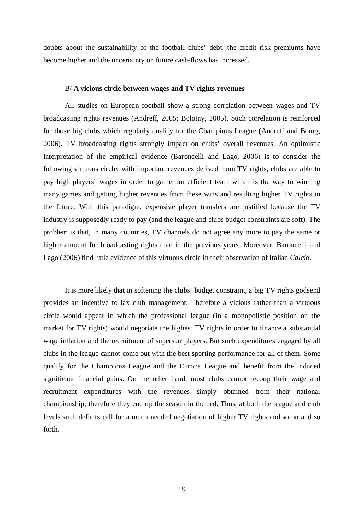doubts about the sustainability of the football clubs' debt: the credit risk premiums have become higher and the uncertainty on future cash-flows has increased.

#### B/ **A vicious circle between wages and TV rights revenues**

All studies on European football show a strong correlation between wages and TV broadcasting rights revenues (Andreff, 2005; Bolotny, 2005). Such correlation is reinforced for those big clubs which regularly qualify for the Champions League (Andreff and Bourg, 2006). TV broadcasting rights strongly impact on clubs' overall revenues. An optimistic interpretation of the empirical evidence (Baroncelli and Lago, 2006) is to consider the following virtuous circle: with important revenues derived from TV rights, clubs are able to pay high players' wages in order to gather an efficient team which is the way to winning many games and getting higher revenues from these wins and resulting higher TV rights in the future. With this paradigm, expensive player transfers are justified because the TV industry is supposedly ready to pay (and the league and clubs budget constraints are soft). The problem is that, in many countries, TV channels do not agree any more to pay the same or higher amount for broadcasting rights than in the previous years. Moreover, Baroncelli and Lago (2006) find little evidence of this virtuous circle in their observation of Italian *Calcio*.

It is more likely that in softening the clubs' budget constraint, a big TV rights godsend provides an incentive to lax club management. Therefore a vicious rather than a virtuous circle would appear in which the professional league (in a monopolistic position on the market for TV rights) would negotiate the highest TV rights in order to finance a substantial wage inflation and the recruitment of superstar players. But such expenditures engaged by all clubs in the league cannot come out with the best sporting performance for all of them. Some qualify for the Champions League and the Europa League and benefit from the induced significant financial gains. On the other hand, most clubs cannot recoup their wage and recruitment expenditures with the revenues simply obtained from their national championship; therefore they end up the season in the red. Thus, at both the league and club levels such deficits call for a much needed negotiation of higher TV rights and so on and so forth.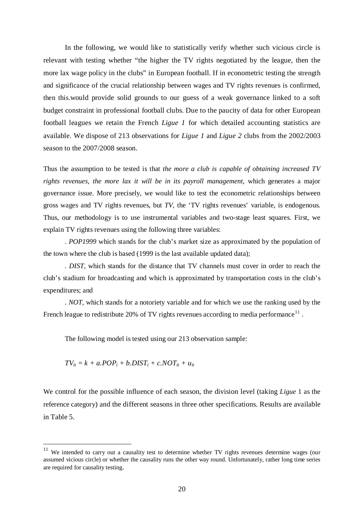In the following, we would like to statistically verify whether such vicious circle is relevant with testing whether "the higher the TV rights negotiated by the league, then the more lax wage policy in the clubs" in European football. If in econometric testing the strength and significance of the crucial relationship between wages and TV rights revenues is confirmed, then this.would provide solid grounds to our guess of a weak governance linked to a soft budget constraint in professional football clubs. Due to the paucity of data for other European football leagues we retain the French *Ligue 1* for which detailed accounting statistics are available. We dispose of 213 observations for *Ligue 1* and *Ligue 2* clubs from the 2002/2003 season to the 2007/2008 season.

Thus the assumption to be tested is that *the more a club is capable of obtaining increased TV rights revenues, the more lax it will be in its payroll management*, which generates a major governance issue. More precisely, we would like to test the econometric relationships between gross wages and TV rights revenues, but *TV*, the 'TV rights revenues' variable, is endogenous. Thus, our methodology is to use instrumental variables and two-stage least squares. First, we explain TV rights revenues using the following three variables:

. *POP1999* which stands for the club's market size as approximated by the population of the town where the club is based (1999 is the last available updated data);

*. DIST*, which stands for the distance that TV channels must cover in order to reach the club's stadium for broadcasting and which is approximated by transportation costs in the club's expenditures; and

*. NOT*, which stands for a notoriety variable and for which we use the ranking used by the French league to redistribute 20% of TV rights revenues according to media performance<sup>[11](#page-20-0)</sup>.

The following model is tested using our 213 observation sample:

$$
TV_{it} = k + a.POP_i + b.DIST_i + c.NOT_{it} + u_{it}
$$

We control for the possible influence of each season, the division level (taking *Ligue* 1 as the reference category) and the different seasons in three other specifications. Results are available in Table 5.

<span id="page-20-0"></span><sup>&</sup>lt;sup>11</sup> We intended to carry out a causality test to determine whether TV rights revenues determine wages (our assumed vicious circle) or whether the causality runs the other way round. Unfortunately, rather long time series are required for causality testing.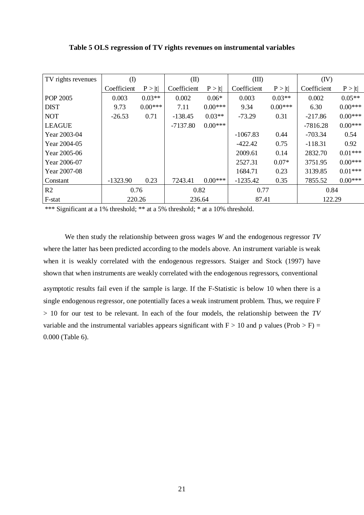| TV rights revenues | $\rm(D)$    |           | $(\mathbb{I})$ |           | (III)       |           | (IV)        |           |
|--------------------|-------------|-----------|----------------|-----------|-------------|-----------|-------------|-----------|
|                    | Coefficient | P >  t    | Coefficient    | P >  t    | Coefficient | P >  t    | Coefficient | P >  t    |
| POP 2005           | 0.003       | $0.03**$  | 0.002          | $0.06*$   | 0.003       | $0.03**$  | 0.002       | $0.05**$  |
| <b>DIST</b>        | 9.73        | $0.00***$ | 7.11           | $0.00***$ | 9.34        | $0.00***$ | 6.30        | $0.00***$ |
| <b>NOT</b>         | $-26.53$    | 0.71      | $-138.45$      | $0.03**$  | $-73.29$    | 0.31      | $-217.86$   | $0.00***$ |
| <b>LEAGUE</b>      |             |           | $-7137.80$     | $0.00***$ |             |           | $-7816.28$  | $0.00***$ |
| Year 2003-04       |             |           |                |           | $-1067.83$  | 0.44      | -703.34     | 0.54      |
| Year 2004-05       |             |           |                |           | $-422.42$   | 0.75      | $-118.31$   | 0.92      |
| Year 2005-06       |             |           |                |           | 2009.61     | 0.14      | 2832.70     | $0.01***$ |
| Year 2006-07       |             |           |                |           | 2527.31     | $0.07*$   | 3751.95     | $0.00***$ |
| Year 2007-08       |             |           |                |           | 1684.71     | 0.23      | 3139.85     | $0.01***$ |
| Constant           | $-1323.90$  | 0.23      | 7243.41        | $0.00***$ | $-1235.42$  | 0.35      | 7855.52     | $0.00***$ |
| R <sub>2</sub>     | 0.76        |           | 0.82           |           | 0.77        |           | 0.84        |           |
| F-stat             | 220.26      |           | 236.64         |           | 87.41       |           | 122.29      |           |

\*\*\* Significant at a 1% threshold; \*\* at a 5% threshold; \* at a 10% threshold.

We then study the relationship between gross wages *W* and the endogenous regressor *TV*  where the latter has been predicted according to the models above. An instrument variable is weak when it is weakly correlated with the endogenous regressors. Staiger and Stock (1997) have shown that when instruments are weakly correlated with the endogenous regressors, conventional asymptotic results fail even if the sample is large. If the F-Statistic is below 10 when there is a single endogenous regressor, one potentially faces a weak instrument problem. Thus, we require F > 10 for our test to be relevant. In each of the four models, the relationship between the *TV*  variable and the instrumental variables appears significant with  $F > 10$  and p values (Prob  $> F$ ) = 0.000 (Table 6).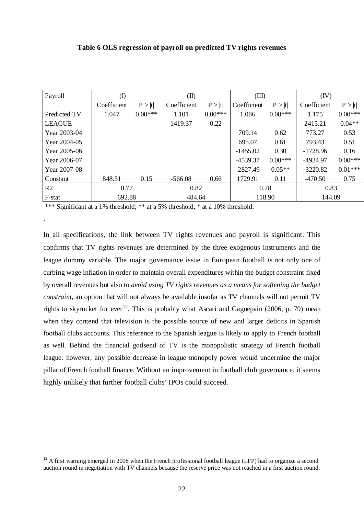| Payroll        | $\rm(D)$    |           |             | (II)      |             | (III)     |             | (IV)      |  |
|----------------|-------------|-----------|-------------|-----------|-------------|-----------|-------------|-----------|--|
|                | Coefficient | P >  t    | Coefficient | P >  t    | Coefficient | P >  t    | Coefficient | P >  t    |  |
| Predicted TV   | 1.047       | $0.00***$ | 1.101       | $0.00***$ | 1.086       | $0.00***$ | 1.175       | $0.00***$ |  |
| <b>LEAGUE</b>  |             |           | 1419.37     | 0.22      |             |           | 2415.21     | $0.04**$  |  |
| Year 2003-04   |             |           |             |           | 709.14      | 0.62      | 773.27      | 0.53      |  |
| Year 2004-05   |             |           |             |           | 695.07      | 0.61      | 793.43      | 0.51      |  |
| Year 2005-06   |             |           |             |           | $-1455.02$  | 0.30      | $-1728.96$  | 0.16      |  |
| Year 2006-07   |             |           |             |           | -4539.37    | $0.00***$ | -4934.97    | $0.00***$ |  |
| Year 2007-08   |             |           |             |           | $-2827.49$  | $0.05**$  | $-3220.82$  | $0.01***$ |  |
| Constant       | 848.51      | 0.15      | $-566.08$   | 0.66      | 1729.91     | 0.11      | $-470.50$   | 0.75      |  |
| R <sub>2</sub> | 0.77        |           | 0.82        |           | 0.78        |           | 0.83        |           |  |
| F-stat         | 692.88      |           | 484.64      |           | 118.90      |           | 144.09      |           |  |

\*\*\* Significant at a 1% threshold; \*\* at a 5% threshold; \* at a 10% threshold.

.

In all specifications, the link between TV rights revenues and payroll is significant. This confirms that TV rights revenues are determined by the three exogenous instruments and the league dummy variable. The major governance issue in European football is not only one of curbing wage inflation in order to maintain overall expenditures within the budget constraint fixed by overall revenues but also to *avoid using TV rights revenues as a means for softening the budget constraint*, an option that will not always be available insofar as TV channels will not permit TV rights to skyrocket for ever<sup>[12](#page-22-0)</sup>. This is probably what Ascari and Gagnepain (2006, p. 79) mean when they contend that television is the possible source of new and larger deficits in Spanish football clubs accounts. This reference to the Spanish league is likely to apply to French football as well. Behind the financial godsend of TV is the monopolistic strategy of French football league: however, any possible decrease in league monopoly power would undermine the major pillar of French football finance. Without an improvement in football club governance, it seems highly unlikely that further football clubs' IPOs could succeed.

<span id="page-22-0"></span><sup>&</sup>lt;sup>12</sup> A first warning emerged in 2008 when the French professional football league (LFP) had to organize a second auction round in negotiation with TV channels because the reserve price was not reached in a first auction round.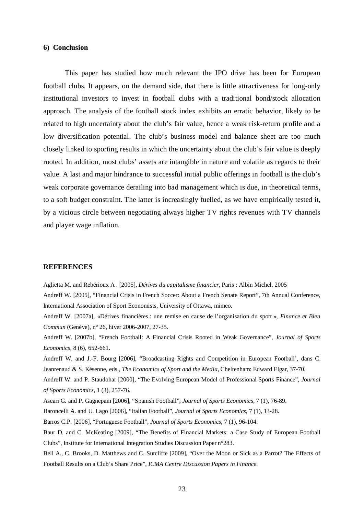#### **6) Conclusion**

This paper has studied how much relevant the IPO drive has been for European football clubs. It appears, on the demand side, that there is little attractiveness for long-only institutional investors to invest in football clubs with a traditional bond/stock allocation approach. The analysis of the football stock index exhibits an erratic behavior, likely to be related to high uncertainty about the club's fair value, hence a weak risk-return profile and a low diversification potential. The club's business model and balance sheet are too much closely linked to sporting results in which the uncertainty about the club's fair value is deeply rooted. In addition, most clubs' assets are intangible in nature and volatile as regards to their value. A last and major hindrance to successful initial public offerings in football is the club's weak corporate governance derailing into bad management which is due, in theoretical terms, to a soft budget constraint. The latter is increasingly fuelled, as we have empirically tested it, by a vicious circle between negotiating always higher TV rights revenues with TV channels and player wage inflation.

#### **REFERENCES**

Aglietta M. and Rebérioux A . [2005], *Dérives du capitalisme financier*, Paris : Albin Michel, 2005 Andreff W. [2005], "Financial Crisis in French Soccer: About a French Senate Report", 7th Annual Conference, International Association of Sport Economists, University of Ottawa, mimeo.

Andreff W. [2007a], «Dérives financières : une remise en cause de l'organisation du sport », *Finance et Bien Commun* (Genève), n° 26, hiver 2006-2007, 27-35.

Andreff W. [2007b], "French Football: A Financial Crisis Rooted in Weak Governance", *Journal of Sports Economics*, 8 (6), 652-661.

Andreff W. and J.-F. Bourg [2006], "Broadcasting Rights and Competition in European Football', dans C. Jeanrenaud & S. Késenne, eds., *The Economics of Sport and the Media*, Cheltenham: Edward Elgar, 37-70.

Andreff W. and P. Staudohar [2000], "The Evolving European Model of Professional Sports Finance", *Journal of Sports Economics*, 1 (3), 257-76.

Ascari G. and P. Gagnepain [2006], "Spanish Football", *Journal of Sports Economics*, 7 (1), 76-89.

Baroncelli A. and U. Lago [2006], "Italian Football", *Journal of Sports Economics*, 7 (1), 13-28.

Barros C.P. [2006], "Portuguese Football", *Journal of Sports Economics*, 7 (1), 96-104.

Baur D. and C. McKeating [2009], "The Benefits of Financial Markets: a Case Study of European Football Clubs", Institute for International Integration Studies Discussion Paper n°283.

Bell A., C. Brooks, D. Matthews and C. Sutcliffe [2009], "Over the Moon or Sick as a Parrot? The Effects of Football Results on a Club's Share Price", *ICMA Centre Discussion Papers in Finance*.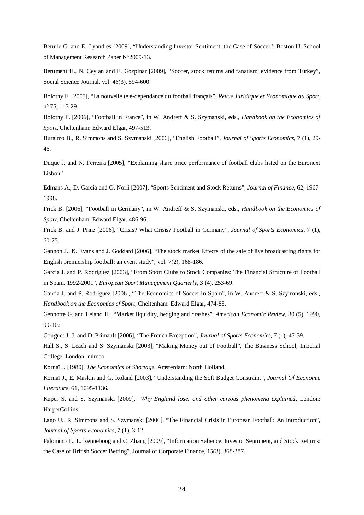Bernile G. and E. Lyandres [2009], "Understanding Investor Sentiment: the Case of Soccer", Boston U. School of Management Research Paper N°2009-13.

Berument H., N. Ceylan and E. Gozpinar [2009], "Soccer, stock returns and fanatism: evidence from Turkey", Social Science Journal, vol. 46(3), 594-600.

Bolotny F. [2005], "La nouvelle télé-dépendance du football français", *Revue Juridique et Economique du Sport*, n° 75, 113-29.

Bolotny F. [2006], "Football in France", in W. Andreff & S. Szymanski, eds., *Handbook on the Economics of Sport*, Cheltenham: Edward Elgar, 497-513.

Buraimo B., R. Simmons and S. Szymanski [2006], "English Football", *Journal of Sports Economics*, 7 (1), 29- 46.

Duque J. and N. Ferreira [2005], "Explaining share price performance of football clubs listed on the Euronext Lisbon"

Edmans A., D. Garcia and O. Norli [2007], "Sports Sentiment and Stock Returns", *Journal of Finance*, 62, 1967- 1998.

Frick B. [2006], "Football in Germany", in W. Andreff & S. Szymanski, eds., *Handbook on the Economics of Sport*, Cheltenham: Edward Elgar, 486-96.

Frick B. and J. Prinz [2006], "Crisis? What Crisis? Football in Germany", *Journal of Sports Economics*, 7 (1), 60-75.

Gannon J., K. Evans and J. Goddard [2006], "The stock market Effects of the sale of live broadcasting rights for English premiership football: an event study", vol. 7(2), 168-186.

Garcia J. and P. Rodriguez [2003], "From Sport Clubs to Stock Companies: The Financial Structure of Football in Spain, 1992-2001", *European Sport Management Quarterly*, 3 (4), 253-69.

Garcia J. and P. Rodriguez [2006], "The Economics of Soccer in Spain", in W. Andreff & S. Szymanski, eds., *Handbook on the Economics of Sport*, Cheltenham: Edward Elgar, 474-85.

Gennotte G. and Leland H., "Market liquidity, hedging and crashes", *American Economic Review*, 80 (5), 1990, 99-102

Gouguet J.-J. and D. Primault [2006], "The French Exception", *Journal of Sports Economics*, 7 (1), 47-59.

Hall S., S. Leach and S. Szymanski [2003], "Making Money out of Football", The Business School, Imperial College, London, mimeo.

Kornaï J. [1980], *The Economics of Shortage*, Amsterdam: North Holland.

Kornaï J., E. Maskin and G. Roland [2003], "Understanding the Soft Budget Constraint", *Journal Of Economic Literature*, 61, 1095-1136.

Kuper S. and S. Szymanski [2009], *Why England lose: and other curious phenomena explained,* London: HarperCollins.

Lago U., R. Simmons and S. Szymanski [2006], "The Financial Crisis in European Football: An Introduction", *Journal of Sports Economics*, 7 (1), 3-12.

Palomino F., L. Renneboog and C. Zhang [2009], "Information Salience, Investor Sentiment, and Stock Returns: the Case of British Soccer Betting", Journal of Corporate Finance, 15(3), 368-387.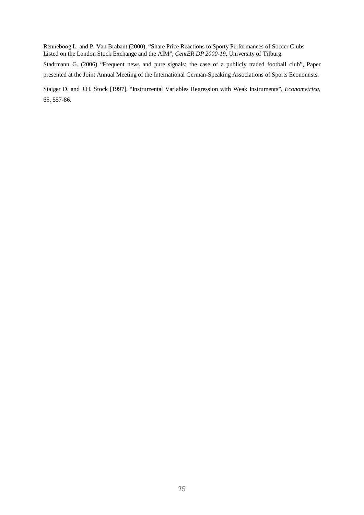Renneboog L. and P. Van Brabant (2000), "Share Price Reactions to Sporty Performances of Soccer Clubs Listed on the London Stock Exchange and the AIM", *CentER DP 2000-19*, University of Tilburg.

Stadtmann G. (2006) "Frequent news and pure signals: the case of a publicly traded football club", Paper presented at the Joint Annual Meeting of the International German-Speaking Associations of Sports Economists.

Staiger D. and J.H. Stock [1997], "Instrumental Variables Regression with Weak Instruments", *Econometrica*, 65, 557-86.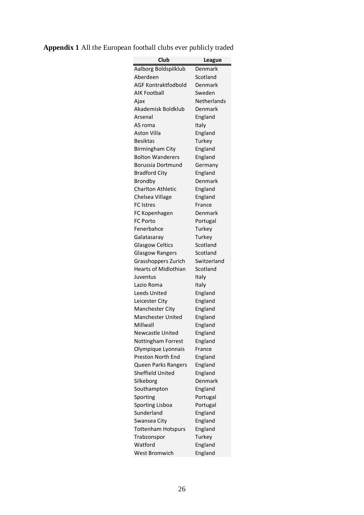| Club                        | League      |
|-----------------------------|-------------|
| Aalborg Boldspilklub        | Denmark     |
| Aberdeen                    | Scotland    |
| AGF Kontraktfodbold         | Denmark     |
| AIK Football                | Sweden      |
| Ajax                        | Netherlands |
| Akademisk Boldklub          | Denmark     |
| Arsenal                     | England     |
| AS roma                     | Italy       |
| Aston Villa                 | England     |
| <b>Besiktas</b>             | Turkey      |
| <b>Birmingham City</b>      | England     |
| <b>Bolton Wanderers</b>     | England     |
| Borussia Dortmund           | Germany     |
| <b>Bradford City</b>        | England     |
| Brondby                     | Denmark     |
| <b>Charlton Athletic</b>    | England     |
| Chelsea Village             | England     |
| <b>FC</b> Istres            | France      |
| FC Kopenhagen               | Denmark     |
| <b>FC Porto</b>             | Portugal    |
| Fenerbahce                  | Turkey      |
| Galatasaray                 | Turkey      |
| <b>Glasgow Celtics</b>      | Scotland    |
| <b>Glasgow Rangers</b>      | Scotland    |
| Grasshoppers Zurich         | Switzerland |
| <b>Hearts of Midlothian</b> | Scotland    |
| Juventus                    | Italy       |
| Lazio Roma                  | Italy       |
| Leeds United                | England     |
| Leicester City              | England     |
| <b>Manchester City</b>      | England     |
| <b>Manchester United</b>    | England     |
| Millwall                    | England     |
| Newcastle United            | England     |
| Nottingham Forrest          | England     |
| Olympique Lyonnais          | France      |
| Preston North End           | England     |
| Queen Parks Rangers         | England     |
| <b>Sheffield United</b>     | England     |
| Silkeborg                   | Denmark     |
| Southampton                 | England     |
| Sporting                    | Portugal    |
| <b>Sporting Lisboa</b>      | Portugal    |
| Sunderland                  | England     |
| Swansea City                | England     |
| <b>Tottenham Hotspurs</b>   | England     |
| Trabzonspor                 | Turkey      |
| Watford                     | England     |
| West Bromwich               | England     |

### **Appendix 1** All the European football clubs ever publicly traded